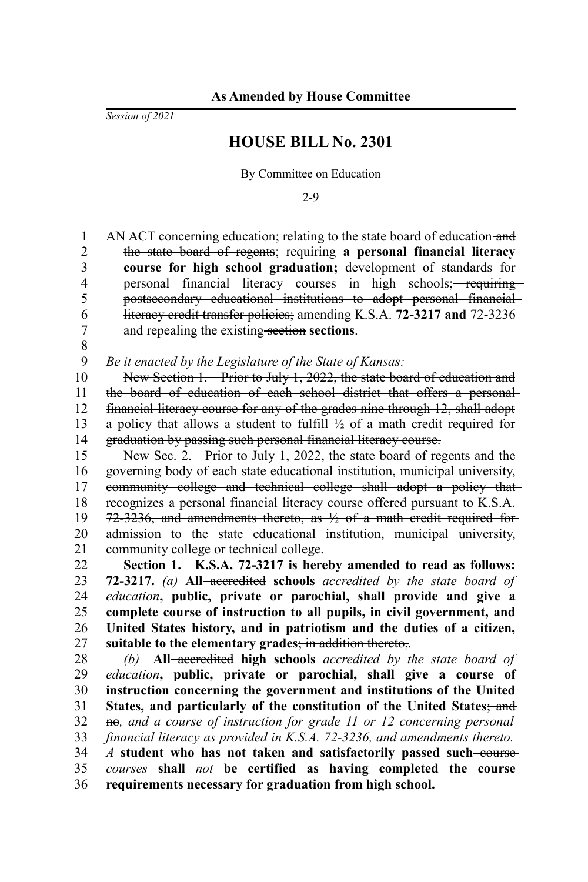*Session of 2021*

## **HOUSE BILL No. 2301**

By Committee on Education

2-9

AN ACT concerning education; relating to the state board of education and the state board of regents; requiring **a personal financial literacy course for high school graduation;** development of standards for personal financial literacy courses in high schools; requiring postsecondary educational institutions to adopt personal financial literacy credit transfer policies; amending K.S.A. **72-3217 and** 72-3236 and repealing the existing section **sections**. 1 2 3 4 5 6 7

8

*Be it enacted by the Legislature of the State of Kansas:* 9

New Section 1. Prior to July 1, 2022, the state board of education and the board of education of each school district that offers a personal financial literacy course for any of the grades nine through 12, shall adopt a policy that allows a student to fulfill  $\frac{1}{2}$  of a math credit required forgraduation by passing such personal financial literacy course. 10 11 12 13 14

New Sec. 2. Prior to July 1, 2022, the state board of regents and the governing body of each state educational institution, municipal university, community college and technical college shall adopt a policy that recognizes a personal financial literacy course offered pursuant to K.S.A.  $72-3236$ , and amendments thereto, as  $\frac{1}{2}$  of a math credit required foradmission to the state educational institution, municipal university, community college or technical college. 15 16 17 18 19 20 21

**Section 1. K.S.A. 72-3217 is hereby amended to read as follows: 72-3217.** *(a)* **All** accredited **schools** *accredited by the state board of education***, public, private or parochial, shall provide and give a complete course of instruction to all pupils, in civil government, and United States history, and in patriotism and the duties of a citizen, suitable to the elementary grades**; in addition thereto,*.* 22 23 24 25 26 27

*(b)* **All** accredited **high schools** *accredited by the state board of education***, public, private or parochial, shall give a course of instruction concerning the government and institutions of the United States, and particularly of the constitution of the United States**; and no, and a course of instruction for grade 11 or 12 concerning personal *financial literacy as provided in K.S.A. 72-3236, and amendments thereto. A* **student who has not taken and satisfactorily passed such course** *courses* **shall** *not* **be certified as having completed the course requirements necessary for graduation from high school.** 28 29 30 31 32 33 34 35 36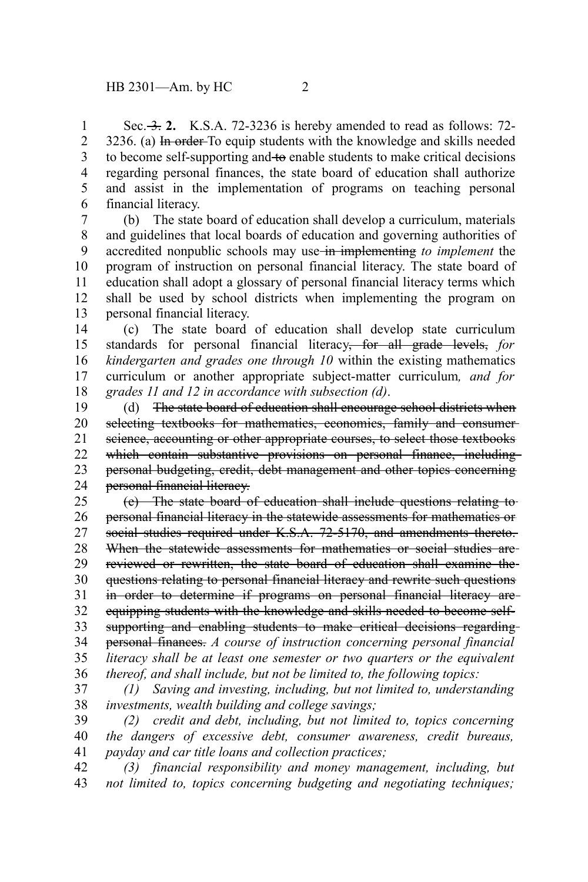Sec. 3. **2.** K.S.A. 72-3236 is hereby amended to read as follows: 72-3236. (a) In order To equip students with the knowledge and skills needed to become self-supporting and to enable students to make critical decisions regarding personal finances, the state board of education shall authorize and assist in the implementation of programs on teaching personal financial literacy. 1 2 3 4 5 6

(b) The state board of education shall develop a curriculum, materials and guidelines that local boards of education and governing authorities of accredited nonpublic schools may use in implementing *to implement* the program of instruction on personal financial literacy. The state board of education shall adopt a glossary of personal financial literacy terms which shall be used by school districts when implementing the program on personal financial literacy. 7 8 9 10 11 12 13

(c) The state board of education shall develop state curriculum standards for personal financial literacy, for all grade levels, *for kindergarten and grades one through 10* within the existing mathematics curriculum or another appropriate subject-matter curriculum*, and for grades 11 and 12 in accordance with subsection (d)*. 14 15 16 17 18

(d) The state board of education shall encourage school districts when selecting textbooks for mathematics, economics, family and consumerscience, accounting or other appropriate courses, to select those textbooks which contain substantive provisions on personal finance, including personal budgeting, credit, debt management and other topics concerning personal financial literacy. 19 20 21 22 23 24

(e) The state board of education shall include questions relating to personal financial literacy in the statewide assessments for mathematics or social studies required under K.S.A. 72-5170, and amendments thereto. When the statewide assessments for mathematics or social studies arereviewed or rewritten, the state board of education shall examine the questions relating to personal financial literacy and rewrite such questions in order to determine if programs on personal financial literacy are equipping students with the knowledge and skills needed to become selfsupporting and enabling students to make critical decisions regardingpersonal finances. *A course of instruction concerning personal financial literacy shall be at least one semester or two quarters or the equivalent thereof, and shall include, but not be limited to, the following topics:* 25 26 27 28 29 30 31 32 33 34 35 36

*(1) Saving and investing, including, but not limited to, understanding investments, wealth building and college savings;* 37 38

*(2) credit and debt, including, but not limited to, topics concerning the dangers of excessive debt, consumer awareness, credit bureaus, payday and car title loans and collection practices;* 39 40 41

*(3) financial responsibility and money management, including, but not limited to, topics concerning budgeting and negotiating techniques;* 42 43